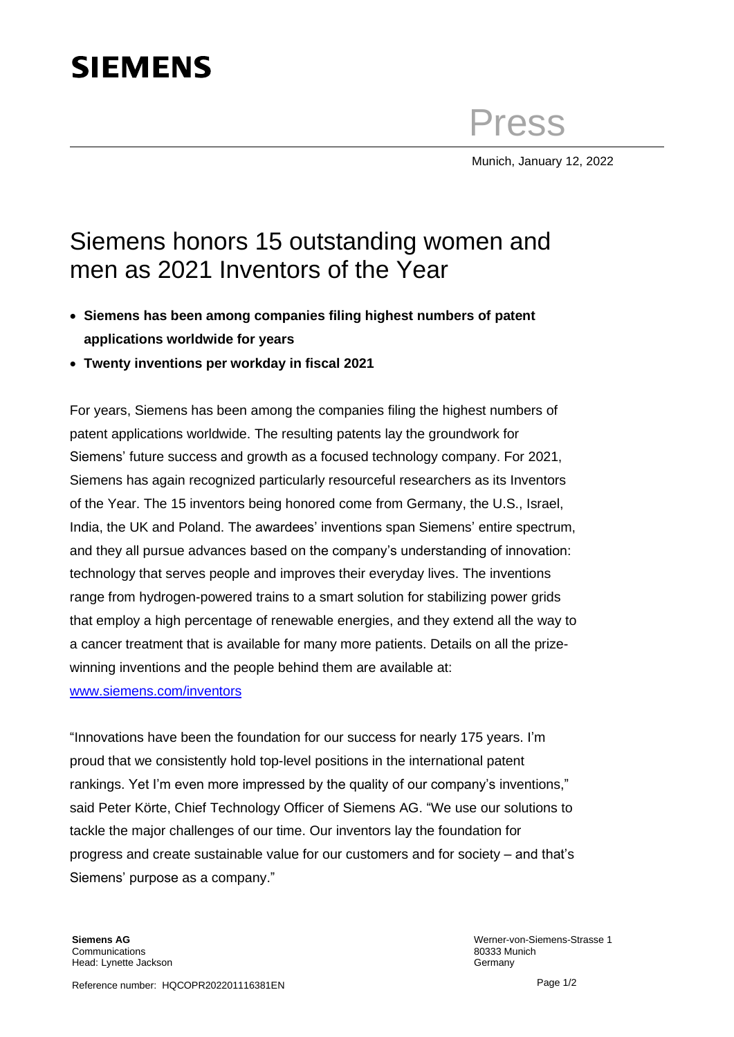## **SIEMENS**

Press

Munich, January 12, 2022

## Siemens honors 15 outstanding women and men as 2021 Inventors of the Year

- **Siemens has been among companies filing highest numbers of patent applications worldwide for years**
- **Twenty inventions per workday in fiscal 2021**

For years, Siemens has been among the companies filing the highest numbers of patent applications worldwide. The resulting patents lay the groundwork for Siemens' future success and growth as a focused technology company. For 2021, Siemens has again recognized particularly resourceful researchers as its Inventors of the Year. The 15 inventors being honored come from Germany, the U.S., Israel, India, the UK and Poland. The awardees' inventions span Siemens' entire spectrum, and they all pursue advances based on the company's understanding of innovation: technology that serves people and improves their everyday lives. The inventions range from hydrogen-powered trains to a smart solution for stabilizing power grids that employ a high percentage of renewable energies, and they extend all the way to a cancer treatment that is available for many more patients. Details on all the prizewinning inventions and the people behind them are available at: [www.siemens.com/inventors](http://www.siemens.com/inventors)

"Innovations have been the foundation for our success for nearly 175 years. I'm proud that we consistently hold top-level positions in the international patent rankings. Yet I'm even more impressed by the quality of our company's inventions," said Peter Körte, Chief Technology Officer of Siemens AG. "We use our solutions to tackle the major challenges of our time. Our inventors lay the foundation for progress and create sustainable value for our customers and for society – and that's Siemens' purpose as a company."